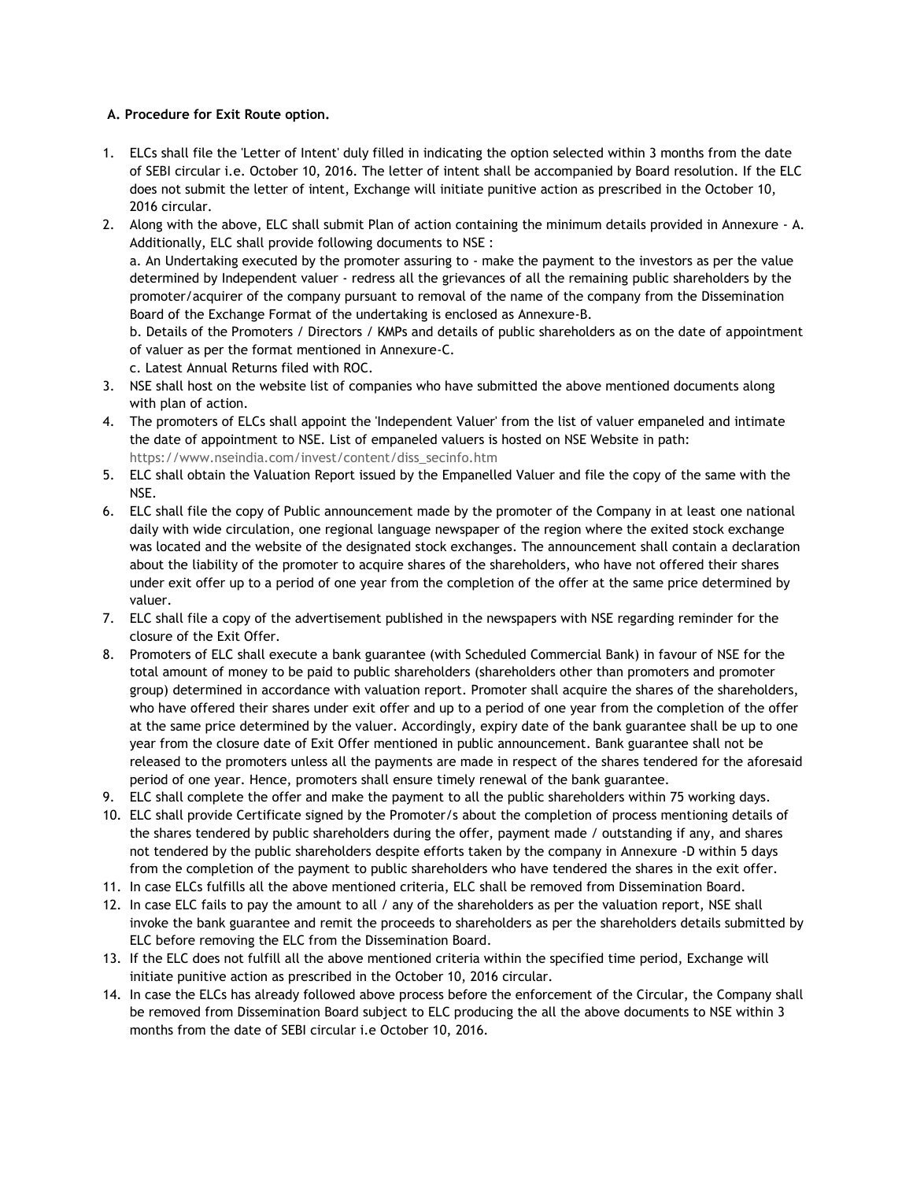## **A. Procedure for Exit Route option.**

- 1. ELCs shall file the 'Letter of Intent' duly filled in indicating the option selected within 3 months from the date of SEBI circular i.e. October 10, 2016. The letter of intent shall be accompanied by Board resolution. If the ELC does not submit the letter of intent, Exchange will initiate punitive action as prescribed in the October 10, 2016 circular.
- 2. Along with the above, ELC shall submit Plan of action containing the minimum details provided in Annexure A. Additionally, ELC shall provide following documents to NSE : a. An Undertaking executed by the promoter assuring to - make the payment to the investors as per the value determined by Independent valuer - redress all the grievances of all the remaining public shareholders by the promoter/acquirer of the company pursuant to removal of the name of the company from the Dissemination Board of the Exchange Format of the undertaking is enclosed as Annexure-B. b. Details of the Promoters / Directors / KMPs and details of public shareholders as on the date of appointment of valuer as per the format mentioned in Annexure-C.

c. Latest Annual Returns filed with ROC.

- 3. NSE shall host on the website list of companies who have submitted the above mentioned documents along with plan of action.
- 4. The promoters of ELCs shall appoint the 'Independent Valuer' from the list of valuer empaneled and intimate the date of appointment to NSE. List of empaneled valuers is hosted on NSE Website in path: [https://www.nseindia.com/invest/content/diss\\_secinfo.htm](https://www.nseindia.com/invest/content/diss_secinfo.htm)
- 5. ELC shall obtain the Valuation Report issued by the Empanelled Valuer and file the copy of the same with the NSE.
- 6. ELC shall file the copy of Public announcement made by the promoter of the Company in at least one national daily with wide circulation, one regional language newspaper of the region where the exited stock exchange was located and the website of the designated stock exchanges. The announcement shall contain a declaration about the liability of the promoter to acquire shares of the shareholders, who have not offered their shares under exit offer up to a period of one year from the completion of the offer at the same price determined by valuer.
- 7. ELC shall file a copy of the advertisement published in the newspapers with NSE regarding reminder for the closure of the Exit Offer.
- 8. Promoters of ELC shall execute a bank guarantee (with Scheduled Commercial Bank) in favour of NSE for the total amount of money to be paid to public shareholders (shareholders other than promoters and promoter group) determined in accordance with valuation report. Promoter shall acquire the shares of the shareholders, who have offered their shares under exit offer and up to a period of one year from the completion of the offer at the same price determined by the valuer. Accordingly, expiry date of the bank guarantee shall be up to one year from the closure date of Exit Offer mentioned in public announcement. Bank guarantee shall not be released to the promoters unless all the payments are made in respect of the shares tendered for the aforesaid period of one year. Hence, promoters shall ensure timely renewal of the bank guarantee.
- 9. ELC shall complete the offer and make the payment to all the public shareholders within 75 working days.
- 10. ELC shall provide Certificate signed by the Promoter/s about the completion of process mentioning details of the shares tendered by public shareholders during the offer, payment made / outstanding if any, and shares not tendered by the public shareholders despite efforts taken by the company in Annexure -D within 5 days from the completion of the payment to public shareholders who have tendered the shares in the exit offer.
- 11. In case ELCs fulfills all the above mentioned criteria, ELC shall be removed from Dissemination Board.
- 12. In case ELC fails to pay the amount to all / any of the shareholders as per the valuation report, NSE shall invoke the bank guarantee and remit the proceeds to shareholders as per the shareholders details submitted by ELC before removing the ELC from the Dissemination Board.
- 13. If the ELC does not fulfill all the above mentioned criteria within the specified time period, Exchange will initiate punitive action as prescribed in the October 10, 2016 circular.
- 14. In case the ELCs has already followed above process before the enforcement of the Circular, the Company shall be removed from Dissemination Board subject to ELC producing the all the above documents to NSE within 3 months from the date of SEBI circular i.e October 10, 2016.